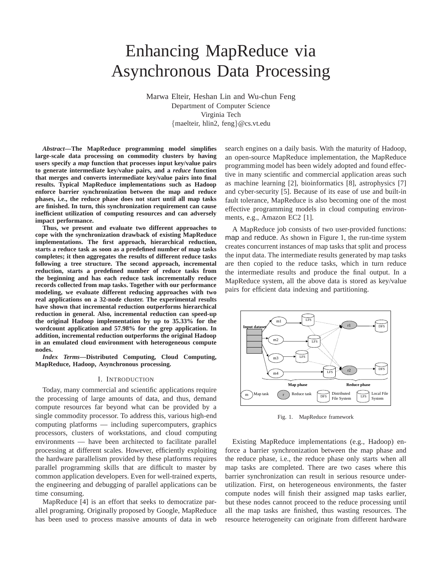# Enhancing MapReduce via Asynchronous Data Processing

Marwa Elteir, Heshan Lin and Wu-chun Feng Department of Computer Science Virginia Tech {maelteir, hlin2, feng}@cs.vt.edu

*Abstract***—The MapReduce programming model simplifies large-scale data processing on commodity clusters by having users specify a** *map* **function that processes input key/value pairs to generate intermediate key/value pairs, and a** *reduce* **function that merges and converts intermediate key/value pairs into final results. Typical MapReduce implementations such as Hadoop enforce barrier synchronization between the map and reduce phases, i.e., the reduce phase does not start until all map tasks are finished. In turn, this synchronization requirement can cause inefficient utilization of computing resources and can adversely impact performance.**

**Thus, we present and evaluate two different approaches to cope with the synchronization drawback of existing MapReduce implementations. The first approach, hierarchical reduction, starts a reduce task as soon as a predefined number of map tasks completes; it then aggregates the results of different reduce tasks following a tree structure. The second approach, incremental reduction, starts a predefined number of reduce tasks from the beginning and has each reduce task incrementally reduce records collected from map tasks. Together with our performance modeling, we evaluate different reducing approaches with two real applications on a 32-node cluster. The experimental results have shown that incremental reduction outperforms hierarchical reduction in general. Also, incremental reduction can speed-up the original Hadoop implementation by up to 35.33% for the wordcount application and 57.98% for the grep application. In addition, incremental reduction outperforms the original Hadoop in an emulated cloud environment with heterogeneous compute nodes.**

*Index Terms***—Distributed Computing, Cloud Computing, MapReduce, Hadoop, Asynchronous processing.**

#### I. INTRODUCTION

Today, many commercial and scientific applications require the processing of large amounts of data, and thus, demand compute resources far beyond what can be provided by a single commodity processor. To address this, various high-end computing platforms — including supercomputers, graphics processors, clusters of workstations, and cloud computing environments — have been architected to facilitate parallel processing at different scales. However, efficiently exploiting the hardware parallelism provided by these platforms requires parallel programming skills that are difficult to master by common application developers. Even for well-trained experts, the engineering and debugging of parallel applications can be time consuming.

MapReduce [4] is an effort that seeks to democratize parallel programing. Originally proposed by Google, MapReduce has been used to process massive amounts of data in web search engines on a daily basis. With the maturity of Hadoop, an open-source MapReduce implementation, the MapReduce programming model has been widely adopted and found effective in many scientific and commercial application areas such as machine learning [2], bioinformatics [8], astrophysics [7] and cyber-security [5]. Because of its ease of use and built-in fault tolerance, MapReduce is also becoming one of the most effective programming models in cloud computing environments, e.g., Amazon EC2 [1].

A MapReduce job consists of two user-provided functions: map and reduce. As shown in Figure 1, the run-time system creates concurrent instances of map tasks that split and process the input data. The intermediate results generated by map tasks are then copied to the reduce tasks, which in turn reduce the intermediate results and produce the final output. In a MapReduce system, all the above data is stored as key/value pairs for efficient data indexing and partitioning.



Fig. 1. MapReduce framework

Existing MapReduce implementations (e.g., Hadoop) enforce a barrier synchronization between the map phase and the reduce phase, i.e., the reduce phase only starts when all map tasks are completed. There are two cases where this barrier synchronization can result in serious resource underutilization. First, on heterogeneous environments, the faster compute nodes will finish their assigned map tasks earlier, but these nodes cannot proceed to the reduce processing until all the map tasks are finished, thus wasting resources. The resource heterogeneity can originate from different hardware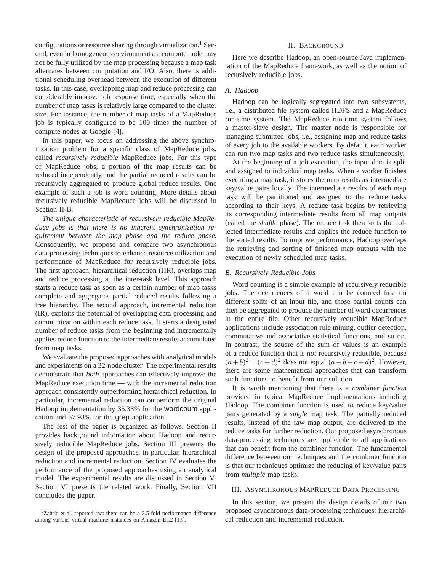configurations or resource sharing through virtualization. <sup>1</sup> Second, even in homogeneous environments, a compute node may not be fully utilized by the map processing because a map task alternates between computation and I/O. Also, there is additional scheduling overhead between the execution of different tasks. In this case, overlapping map and reduce processing can considerably improve job response time, especially when the number of map tasks is relatively large compared to the cluster size. For instance, the number of map tasks of a MapReduce job is typically configured to be 100 times the number of compute nodes at Google [4].

In this paper, we focus on addressing the above synchronization problem for a specific class of MapReduce jobs, called *recursively reducible* MapReduce jobs. For this type of MapReduce jobs, a portion of the map results can be reduced independently, and the partial reduced results can be recursively aggregated to produce global reduce results. One example of such a job is word counting. More details about recursively reducible MapReduce jobs will be discussed in Section II-B.

*The unique characteristic of recursively reducible MapReduce jobs is that there is no inherent synchronization requirement between the map phase and the reduce phase.* Consequently, we propose and compare two asynchronous data-processing techniques to enhance resource utilization and performance of MapReduce for recursively reducible jobs. The first approach, hierarchical reduction (HR), overlaps map and reduce processing at the inter-task level. This approach starts a reduce task as soon as a certain number of map tasks complete and aggregates partial reduced results following a tree hierarchy. The second approach, incremental reduction (IR), exploits the potential of overlapping data processing and communication within each reduce task. It starts a designated number of reduce tasks from the beginning and incrementally applies reduce function to the intermediate results accumulated from map tasks.

We evaluate the proposed approaches with analytical models and experiments on a 32-node cluster. The experimental results demonstrate that *both* approaches can effectively improve the MapReduce execution time — with the incremental reduction approach consistently outperforming hierarchical reduction. In particular, incremental reduction can outperform the original Hadoop implementation by 35.33% for the wordcount application and 57.98% for the grep application.

The rest of the paper is organized as follows. Section II provides background information about Hadoop and recursively reducible MapReduce jobs. Section III presents the design of the proposed approaches, in particular, hierarchical reduction and incremental reduction. Section IV evaluates the performance of the proposed approaches using an analytical model. The experimental results are discussed in Section V. Section VI presents the related work. Finally, Section VII concludes the paper.

#### II. BACKGROUND

Here we describe Hadoop, an open-source Java implementation of the MapReduce framework, as well as the notion of recursively reducible jobs.

# *A. Hadoop*

Hadoop can be logically segregated into two subsystems, i.e., a distributed file system called HDFS and a MapReduce run-time system. The MapReduce run-time system follows a master-slave design. The master node is responsible for managing submitted jobs, i.e., assigning map and reduce tasks of every job to the available workers. By default, each worker can run two map tasks and two reduce tasks simultaneously.

At the beginning of a job execution, the input data is split and assigned to individual map tasks. When a worker finishes executing a map task, it stores the map results as intermediate key/value pairs locally. The intermediate results of each map task will be partitioned and assigned to the reduce tasks according to their keys. A reduce task begins by retrieving its corresponding intermediate results from all map outputs (called the *shuffle* phase). The reduce task then sorts the collected intermediate results and applies the reduce function to the sorted results. To improve performance, Hadoop overlaps the retrieving and sorting of finished map outputs with the execution of newly scheduled map tasks.

## *B. Recursively Reducible Jobs*

Word counting is a simple example of recursively reducible jobs. The occurrences of a word can be counted first on different splits of an input file, and those partial counts can then be aggregated to produce the number of word occurrences in the entire file. Other recursively reducible MapReduce applications include association rule mining, outlier detection, commutative and associative statistical functions, and so on. In contrast, the square of the sum of values is an example of a reduce function that is *not* recursively reducible, because  $(a+b)^2 + (c+d)^2$  does not equal  $(a+b+c+d)^2$ . However, there are some mathematical approaches that can transform such functions to benefit from our solution.

It is worth mentioning that there is a *combiner function* provided in typical MapReduce implementations including Hadoop. The combiner function is used to reduce key/value pairs generated by a *single* map task. The partially reduced results, instead of the raw map output, are delivered to the reduce tasks for further reduction. Our proposed asynchronous data-processing techniques are applicable to all applications that can benefit from the combiner function. The fundamental difference between our techniques and the combiner function is that our techniques optimize the reducing of key/value pairs from *multiple* map tasks.

# III. ASYNCHRONOUS MAPREDUCE DATA PROCESSING

In this section, we present the design details of our two proposed asynchronous data-processing techniques: hierarchical reduction and incremental reduction.

<sup>&</sup>lt;sup>1</sup>Zahria et al. reported that there can be a 2.5-fold performance difference among various virtual machine instances on Amazon EC2 [13].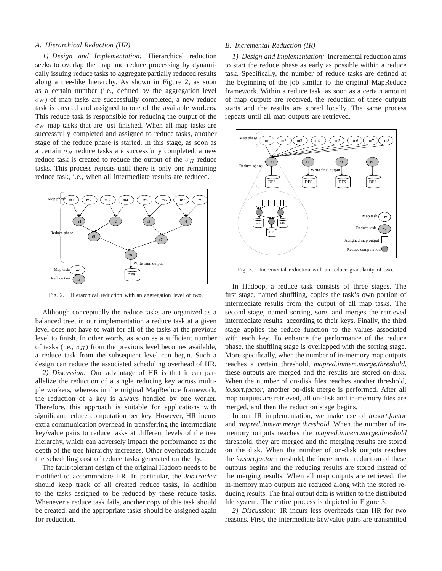#### *A. Hierarchical Reduction (HR)*

*1) Design and Implementation:* Hierarchical reduction seeks to overlap the map and reduce processing by dynamically issuing reduce tasks to aggregate partially reduced results along a tree-like hierarchy. As shown in Figure 2, as soon as a certain number (i.e., defined by the aggregation level  $\sigma_H$ ) of map tasks are successfully completed, a new reduce task is created and assigned to one of the available workers. This reduce task is responsible for reducing the output of the  $\sigma_H$  map tasks that are just finished. When all map tasks are successfully completed and assigned to reduce tasks, another stage of the reduce phase is started. In this stage, as soon as a certain  $\sigma_H$  reduce tasks are successfully completed, a new reduce task is created to reduce the output of the  $\sigma_H$  reduce tasks. This process repeats until there is only one remaining reduce task, i.e., when all intermediate results are reduced.



Fig. 2. Hierarchical reduction with an aggregation level of two.

Although conceptually the reduce tasks are organized as a balanced tree, in our implementation a reduce task at a given level does not have to wait for all of the tasks at the previous level to finish. In other words, as soon as a sufficient number of tasks (i.e.,  $\sigma_H$ ) from the previous level becomes available, a reduce task from the subsequent level can begin. Such a design can reduce the associated scheduling overhead of HR.

*2) Discussion:* One advantage of HR is that it can parallelize the reduction of a single reducing key across multiple workers, whereas in the original MapReduce framework, the reduction of a key is always handled by one worker. Therefore, this approach is suitable for applications with significant reduce computation per key. However, HR incurs extra communication overhead in transferring the intermediate key/value pairs to reduce tasks at different levels of the tree hierarchy, which can adversely impact the performance as the depth of the tree hierarchy increases. Other overheads include the scheduling cost of reduce tasks generated on the fly.

The fault-tolerant design of the original Hadoop needs to be modified to accommodate HR. In particular, the *JobTracker* should keep track of all created reduce tasks, in addition to the tasks assigned to be reduced by these reduce tasks. Whenever a reduce task fails, another copy of this task should be created, and the appropriate tasks should be assigned again for reduction.

#### *B. Incremental Reduction (IR)*

*1) Design and Implementation:* Incremental reduction aims to start the reduce phase as early as possible within a reduce task. Specifically, the number of reduce tasks are defined at the beginning of the job similar to the original MapReduce framework. Within a reduce task, as soon as a certain amount of map outputs are received, the reduction of these outputs starts and the results are stored locally. The same process repeats until all map outputs are retrieved.



Fig. 3. Incremental reduction with an reduce granularity of two.

In Hadoop, a reduce task consists of three stages. The first stage, named shuffling, copies the task's own portion of intermediate results from the output of all map tasks. The second stage, named sorting, sorts and merges the retrieved intermediate results, according to their keys. Finally, the third stage applies the reduce function to the values associated with each key. To enhance the performance of the reduce phase, the shuffling stage is overlapped with the sorting stage. More specifically, when the number of in-memory map outputs reaches a certain threshold, *mapred.inmem.merge.threshold*, these outputs are merged and the results are stored on-disk. When the number of on-disk files reaches another threshold, *io.sort.factor*, another on-disk merge is performed. After all map outputs are retrieved, all on-disk and in-memory files are merged, and then the reduction stage begins.

In our IR implementation, we make use of *io.sort.factor* and *mapred.inmem.merge.threshold*. When the number of inmemory outputs reaches the *mapred.inmem.merge.threshold* threshold, they are merged and the merging results are stored on the disk. When the number of on-disk outputs reaches the *io.sort.factor* threshold, the incremental reduction of these outputs begins and the reducing results are stored instead of the merging results. When all map outputs are retrieved, the in-memory map outputs are reduced along with the stored reducing results. The final output data is written to the distributed file system. The entire process is depicted in Figure 3.

*2) Discussion:* IR incurs less overheads than HR for two reasons. First, the intermediate key/value pairs are transmitted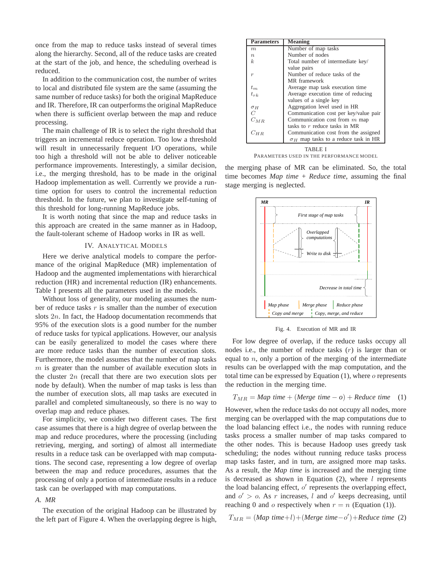once from the map to reduce tasks instead of several times along the hierarchy. Second, all of the reduce tasks are created at the start of the job, and hence, the scheduling overhead is reduced.

In addition to the communication cost, the number of writes to local and distributed file system are the same (assuming the same number of reduce tasks) for both the original MapReduce and IR. Therefore, IR can outperforms the original MapReduce when there is sufficient overlap between the map and reduce processing.

The main challenge of IR is to select the right threshold that triggers an incremental reduce operation. Too low a threshold will result in unnecessarily frequent I/O operations, while too high a threshold will not be able to deliver noticeable performance improvements. Interestingly, a similar decision, i.e., the merging threshold, has to be made in the original Hadoop implementation as well. Currently we provide a runtime option for users to control the incremental reduction threshold. In the future, we plan to investigate self-tuning of this threshold for long-running MapReduce jobs.

It is worth noting that since the map and reduce tasks in this approach are created in the same manner as in Hadoop, the fault-tolerant scheme of Hadoop works in IR as well.

## IV. ANALYTICAL MODELS

Here we derive analytical models to compare the performance of the original MapReduce (MR) implementation of Hadoop and the augmented implementations with hierarchical reduction (HR) and incremental reduction (IR) enhancements. Table I presents all the parameters used in the models.

Without loss of generality, our modeling assumes the number of reduce tasks  $r$  is smaller than the number of execution slots  $2n$ . In fact, the Hadoop documentation recommends that 95% of the execution slots is a good number for the number of reduce tasks for typical applications. However, our analysis can be easily generalized to model the cases where there are more reduce tasks than the number of execution slots. Furthermore, the model assumes that the number of map tasks  $m$  is greater than the number of available execution slots in the cluster  $2n$  (recall that there are two execution slots per node by default). When the number of map tasks is less than the number of execution slots, all map tasks are executed in parallel and completed simultaneously, so there is no way to overlap map and reduce phases.

For simplicity, we consider two different cases. The first case assumes that there is a high degree of overlap between the map and reduce procedures, where the processing (including retrieving, merging, and sorting) of almost all intermediate results in a reduce task can be overlapped with map computations. The second case, representing a low degree of overlap between the map and reduce procedures, assumes that the processing of only a portion of intermediate results in a reduce task can be overlapped with map computations.

# *A. MR*

The execution of the original Hadoop can be illustrated by the left part of Figure 4. When the overlapping degree is high,

| <b>Parameters</b> | Meaning                                     |  |
|-------------------|---------------------------------------------|--|
| m                 | Number of map tasks                         |  |
| $\boldsymbol{n}$  | Number of nodes                             |  |
| k.                | Total number of intermediate key/           |  |
|                   | value pairs                                 |  |
| $\boldsymbol{r}$  | Number of reduce tasks of the               |  |
|                   | MR framework                                |  |
| $t_m$             | Average map task execution time             |  |
| $t_{rk}$          | Average execution time of reducing          |  |
|                   | values of a single key                      |  |
| $\sigma$ H        | Aggregation level used in HR                |  |
| $\,C$             | Communication cost per key/value pair       |  |
| $C_{MR}$          | Communication cost from $m$ map             |  |
|                   | tasks to $r$ reduce tasks in MR             |  |
| $C_{HR}$          | Communication cost from the assigned        |  |
|                   | $\sigma_H$ map tasks to a reduce task in HR |  |

PARAMETERS USED IN THE PERFORMANCE MODEL

the merging phase of MR can be eliminated. So, the total time becomes *Map time* + *Reduce time*, assuming the final stage merging is neglected.



Fig. 4. Execution of MR and IR

For low degree of overlap, if the reduce tasks occupy all nodes i.e., the number of reduce tasks (r) is larger than or equal to  $n$ , only a portion of the merging of the intermediate results can be overlapped with the map computation, and the total time can be expressed by Equation  $(1)$ , where  $o$  represents the reduction in the merging time.

$$
T_{MR} = Map \ time + (Merge \ time - o) + Reduce \ time \quad (1)
$$

However, when the reduce tasks do not occupy all nodes, more merging can be overlapped with the map computations due to the load balancing effect i.e., the nodes with running reduce tasks process a smaller number of map tasks compared to the other nodes. This is because Hadoop uses greedy task scheduling; the nodes without running reduce tasks process map tasks faster, and in turn, are assigned more map tasks. As a result, the *Map time* is increased and the merging time is decreased as shown in Equation  $(2)$ , where *l* represents the load balancing effect,  $o'$  represents the overlapping effect, and  $o' > o$ . As r increases, l and o' keeps decreasing, until reaching 0 and o respectively when  $r = n$  (Equation (1)).

$$
T_{MR} = (Map\ time + l) + (Merge\ time - o') + Reduce\ time\ (2)
$$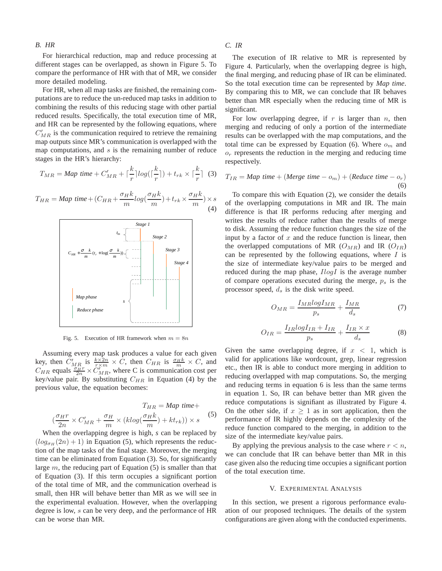## *B. HR*

For hierarchical reduction, map and reduce processing at different stages can be overlapped, as shown in Figure 5. To compare the performance of HR with that of MR, we consider more detailed modeling.

For HR, when all map tasks are finished, the remaining computations are to reduce the un-reduced map tasks in addition to combining the results of this reducing stage with other partial reduced results. Specifically, the total execution time of MR, and HR can be represented by the following equations, where  $C'_{MR}$  is the communication required to retrieve the remaining map outputs since MR's communication is overlapped with the map computations, and  $s$  is the remaining number of reduce stages in the HR's hierarchy:

$$
T_{MR} = Map\ time + C'_{MR} + \lceil \frac{k}{r} \rceil \log(\lceil \frac{k}{r} \rceil) + t_{rk} \times \lceil \frac{k}{r} \rceil \tag{3}
$$

 $T_{HR} = Map$  time +  $(C_{HR} + \frac{\sigma_H k}{\sigma_H})$  $\frac{d^{2}H}{dt^{2}}log(\frac{\sigma_{H}k}{m})$  $\frac{f_H k}{m}$ ) +  $t_{rk} \times \frac{\sigma_H k}{m}$  $\frac{n^{\kappa}}{m}$ ) × s (4)



Fig. 5. Execution of HR framework when  $m = 8n$ 

 Assuming every map task produces a value for each given key, then  $C'_{MR}$  is  $\frac{k \times 2n}{r \times m} \times C$ , then  $C_{HR}$  is  $\frac{\sigma_H k}{m} \times C$ , and  $C_{HR}$  equals  $\frac{\sigma_{HT}^{T}}{2n} \times C_{MR}^{T}$ , where C is communication cost per key/value pair. By substituting  $C_{HR}$  in Equation (4) by the previous value, the equation becomes:

$$
T_{HR} = Map\ time +
$$
  

$$
(\frac{\sigma_{HT}}{2n} \times C'_{MR} + \frac{\sigma_H}{m} \times (klog(\frac{\sigma_{HK}}{m}) + kt_{rk})) \times s
$$
 (5)

When the overlapping degree is high, *s* can be replaced by  $(log_{\sigma_H}(2n) + 1)$  in Equation (5), which represents the reduction of the map tasks of the final stage. Moreover, the merging time can be eliminated from Equation (3). So, for significantly large  $m$ , the reducing part of Equation (5) is smaller than that of Equation (3). If this term occupies a significant portion of the total time of MR, and the communication overhead is small, then HR will behave better than MR as we will see in the experimental evaluation. However, when the overlapping degree is low, s can be very deep, and the performance of HR can be worse than MR.

# *C. IR*

The execution of IR relative to MR is represented by Figure 4. Particularly, when the overlapping degree is high, the final merging, and reducing phase of IR can be eliminated. So the total execution time can be represented by *Map time*. By comparing this to MR, we can conclude that IR behaves better than MR especially when the reducing time of MR is significant.

For low overlapping degree, if  $r$  is larger than  $n$ , then merging and reducing of only a portion of the intermediate results can be overlapped with the map computations, and the total time can be expressed by Equation (6). Where  $o_m$  and  $o_r$  represents the reduction in the merging and reducing time respectively.

$$
T_{IR} = Map\ time + (Merge\ time - o_m) + (Reduce\ time - o_r)
$$
\n(6)

To compare this with Equation (2), we consider the details of the overlapping computations in MR and IR. The main difference is that IR performs reducing after merging and writes the results of reduce rather than the results of merge to disk. Assuming the reduce function changes the size of the input by a factor of  $x$  and the reduce function is linear, then the overlapped computations of MR  $(O_{MR})$  and IR  $(O_{IR})$ can be represented by the following equations, where  $I$  is the size of intermediate key/value pairs to be merged and reduced during the map phase, *IlogI* is the average number of compare operations executed during the merge,  $p_s$  is the processor speed,  $d_s$  is the disk write speed.

$$
O_{MR} = \frac{I_{MR} log I_{MR}}{p_s} + \frac{I_{MR}}{d_s} \tag{7}
$$

$$
O_{IR} = \frac{I_{IR} log I_{IR} + I_{IR}}{p_s} + \frac{I_{IR} \times x}{d_s}
$$
(8)

Given the same overlapping degree, if  $x < 1$ , which is valid for applications like wordcount, grep, linear regression etc., then IR is able to conduct more merging in addition to reducing overlapped with map computations. So, the merging and reducing terms in equation 6 is less than the same terms in equation 1. So, IR can behave better than MR given the reduce computations is signifiant as illustrated by Figure 4. On the other side, if  $x \geq 1$  as in sort application, then the performance of IR highly depends on the complexity of the reduce function compared to the merging, in addition to the size of the intermediate key/value pairs.

By applying the previous analysis to the case where  $r < n$ , we can conclude that IR can behave better than MR in this case given also the reducing time occupies a significant portion of the total execution time.

#### V. EXPERIMENTAL ANALYSIS

In this section, we present a rigorous performance evaluation of our proposed techniques. The details of the system configurations are given along with the conducted experiments.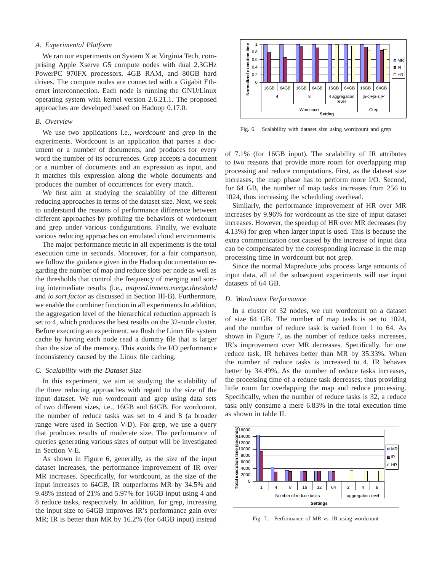## *A. Experimental Platform*

We ran our experiments on System X at Virginia Tech, comprising Apple Xserve G5 compute nodes with dual 2.3GHz PowerPC 970FX processors, 4GB RAM, and 80GB hard drives. The compute nodes are connected with a Gigabit Ethernet interconnection. Each node is running the GNU/Linux operating system with kernel version 2.6.21.1. The proposed approaches are developed based on Hadoop 0.17.0.

#### *B. Overview*

We use two applications i.e., *wordcount* and *grep* in the experiments. Wordcount is an application that parses a document or a number of documents, and produces for every word the number of its occurrences. Grep accepts a document or a number of documents and an expression as input, and it matches this expression along the whole documents and produces the number of occurrences for every match.

We first aim at studying the scalability of the different reducing approaches in terms of the dataset size. Next, we seek to understand the reasons of performance difference between different approaches by profiling the behaviors of wordcount and grep under various configurations. Finally, we evaluate various reducing approaches on emulated cloud environments.

The major performance metric in all experiments is the total execution time in seconds. Moreover, for a fair comparison, we follow the guidance given in the Hadoop documentation regarding the number of map and reduce slots per node as well as the thresholds that control the frequency of merging and sorting intermediate results (i.e., *mapred.inmem.merge.threshold* and *io.sort.factor* as discussed in Section III-B). Furthermore, we enable the combiner function in all experiments In addition, the aggregation level of the hierarchical reduction approach is set to 4, which produces the best results on the 32-node cluster. Before executing an experiment, we flush the Linux file system cache by having each node read a dummy file that is larger than the size of the memory. This avoids the I/O performance inconsistency caused by the Linux file caching.

#### *C. Scalability with the Dataset Size*

In this experiment, we aim at studying the scalability of the three reducing approaches with regard to the size of the input dataset. We run wordcount and grep using data sets of two different sizes, i.e., 16GB and 64GB. For wordcount, the number of reduce tasks was set to 4 and 8 (a broader range were used in Section V-D). For grep, we use a query that produces results of moderate size. The performance of queries generating various sizes of output will be investigated in Section V-E.

As shown in Figure 6, generally, as the size of the input dataset increases, the performance improvement of IR over MR increases. Specifically, for wordcount, as the size of the input increases to 64GB, IR outperforms MR by 34.5% and 9.48% instead of 21% and 5.97% for 16GB input using 4 and 8 reduce tasks, respectively. In addition, for grep, increasing the input size to 64GB improves IR's performance gain over MR; IR is better than MR by 16.2% (for 64GB input) instead



Fig. 6. Scalability with dataset size using wordcount and grep

of 7.1% (for 16GB input). The scalability of IR attributes to two reasons that provide more room for overlapping map processing and reduce computations. First, as the dataset size increases, the map phase has to perform more I/O. Second, for 64 GB, the number of map tasks increases from 256 to 1024, thus increasing the scheduling overhead.

Similarly, the performance improvement of HR over MR increases by 9.96% for wordcount as the size of input dataset increases. However, the speedup of HR over MR decreases (by 4.13%) for grep when larger input is used. This is because the extra communication cost caused by the increase of input data can be compensated by the corresponding increase in the map processing time in wordcount but not grep.

Since the normal Mapreduce jobs process large amounts of input data, all of the subsequent experiments will use input datasets of 64 GB.

## *D. Wordcount Performance*

In a cluster of 32 nodes, we run wordcount on a dataset of size 64 GB. The number of map tasks is set to 1024, and the number of reduce task is varied from 1 to 64. As shown in Figure 7, as the number of reduce tasks increases, IR's improvement over MR decreases. Specifically, for one reduce task, IR behaves better than MR by 35.33%. When the number of reduce tasks is increased to 4, IR behaves better by 34.49%. As the number of reduce tasks increases, the processing time of a reduce task decreases, thus providing little room for overlapping the map and reduce processing. Specifically, when the number of reduce tasks is 32, a reduce task only consume a mere 6.83% in the total execution time as shown in table II.



Fig. 7. Performance of MR vs. IR using wordcount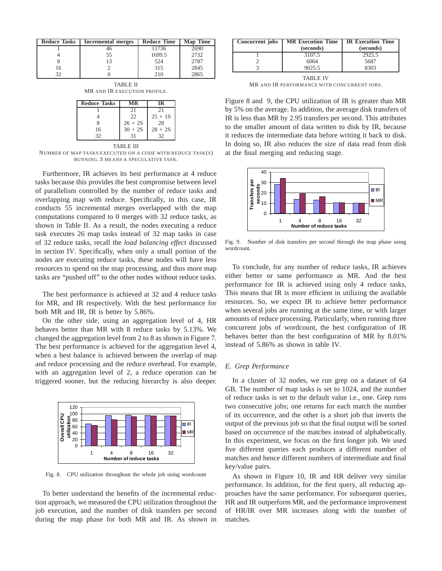| <b>Reduce Tasks</b> | Incremental merges | <b>Reduce Time</b> | <b>Map Time</b> |
|---------------------|--------------------|--------------------|-----------------|
|                     | 46                 | 11736              | 2690            |
|                     | 55                 | 1699.5             | 2732            |
|                     |                    | 524                | 2787            |
|                     |                    | 315                | 2845            |
|                     |                    | 210                | 2865            |

TABLE II MR AND IR EXECUTION PROFILE.

| <b>Reduce Tasks</b> |           |           |
|---------------------|-----------|-----------|
|                     | 21        | 21        |
|                     | 22        | $25 + 1S$ |
|                     | $26 + 2S$ | 28        |
| 16                  | $30 + 2S$ | $28 + 2S$ |
| 32                  | 31        |           |

TABLE III

NUMBER OF MAP TASKS EXECUTED ON A CODE WITH REDUCE TASK(S) RUNNING. *S* MEANS A SPECULATIVE TASK.

Furthermore, IR achieves its best performance at 4 reduce tasks because this provides the best compromise between level of parallelism controlled by the number of reduce tasks and overlapping map with reduce. Specifically, in this case, IR conducts 55 incremental merges overlapped with the map computations compared to 0 merges with 32 reduce tasks, as shown in Table II. As a result, the nodes executing a reduce task executes 26 map tasks instead of 32 map tasks in case of 32 reduce tasks, recall the *load balancing effect* discussed in section IV. Specifically, when only a small portion of the nodes are executing reduce tasks, these nodes will have less resources to spend on the map processing, and thus more map tasks are "pushed off" to the other nodes without reduce tasks.

The best performance is achieved at 32 and 4 reduce tasks for MR, and IR respectively. With the best performance for both MR and IR, IR is better by 5.86%.

On the other side, using an aggregation level of 4, HR behaves better than MR with 8 reduce tasks by 5.13%. We changed the aggregation level from 2 to 8 as shown in Figure 7. The best performance is achieved for the aggregation level 4, when a best balance is achieved between the overlap of map and reduce processing and the reduce overhead. For example, with an aggregation level of 2, a reduce operation can be triggered sooner, but the reducing hierarchy is also deeper.



Fig. 8. CPU utilization throughout the whole job using wordcount

To better understand the benefits of the incremental reduction approach, we measured the CPU utilization throughout the job execution, and the number of disk transfers per second during the map phase for both MR and IR. As shown in

| Concurrent jobs | <b>MR Execution Time</b><br>(seconds) | <b>IR Execution Time</b><br>(seconds) |
|-----------------|---------------------------------------|---------------------------------------|
|                 | 3107.5                                | 2925.5                                |
|                 | 6064                                  | 5687                                  |
|                 | 9025.5                                | 8303                                  |

TABLE IV MR AND IR PERFORMANCE WITH CONCURRENT JOBS.

Figure 8 and 9, the CPU utilization of IR is greater than MR by 5% on the average. In addition, the average disk transfers of IR is less than MR by 2.95 transfers per second. This attributes to the smaller amount of data written to disk by IR, because it reduces the intermediate data before writing it back to disk. In doing so, IR also reduces the size of data read from disk at the final merging and reducing stage.



Fig. 9. Number of disk transfers per second through the map phase using wordcount.

To conclude, for any number of reduce tasks, IR achieves either better or same performance as MR. And the best performance for IR is achieved using only 4 reduce tasks, This means that IR is more efficient in utilizing the available resources. So, we expect IR to achieve better performance when several jobs are running at the same time, or with larger amounts of reduce processing. Particularly, when running three concurrent jobs of wordcount, the best configuration of IR behaves better than the best configuration of MR by 8.01% instead of 5.86% as shown in table IV.

## *E. Grep Performance*

In a cluster of 32 nodes, we run grep on a dataset of 64 GB. The number of map tasks is set to 1024, and the number of reduce tasks is set to the default value i.e., one. Grep runs two consecutive jobs; one returns for each match the number of its occurrence, and the other is a short job that inverts the output of the previous job so that the final output will be sorted based on occurrence of the matches instead of alphabetically. In this experiment, we focus on the first longer job. We used five different queries each produces a different number of matches and hence different numbers of intermediate and final key/value pairs.

As shown in Figure 10, IR and HR deliver very similar performance. In addition, for the first query, all reducing approaches have the same performance. For subsequent queries, HR and IR outperform MR, and the performance improvement of HR/IR over MR increases along with the number of matches.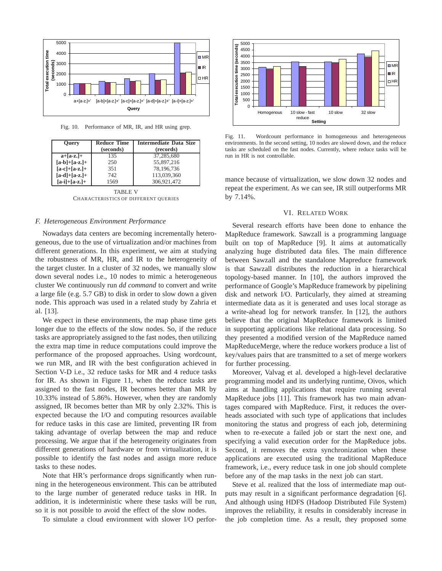

Fig. 10. Performance of MR, IR, and HR using grep.

| Ouerv           | <b>Reduce Time</b> | <b>Intermediate Data Size</b> |
|-----------------|--------------------|-------------------------------|
|                 | (seconds)          | (records)                     |
| $a + [a-z.] +$  | 135                | 37,285,680                    |
| $[a-b]+[a-z.]+$ | 250                | 55,897,216                    |
| $[a-c]+[a-z.]+$ | 351                | 78.196.736                    |
| $[a-d]+[a-z.]+$ | 742                | 113,039,360                   |
| $[a-i]+[a-z.]+$ | 1569               | 306,921,472                   |
|                 |                    |                               |

TABLE V CHARACTERISTICS OF DIFFERENT QUERIES

## *F. Heterogeneous Environment Performance*

Nowadays data centers are becoming incrementally heterogeneous, due to the use of virtualization and/or machines from different generations. In this experiment, we aim at studying the robustness of MR, HR, and IR to the heterogeneity of the target cluster. In a cluster of 32 nodes, we manually slow down several nodes i.e., 10 nodes to mimic a heterogeneous cluster We continuously run *dd command* to convert and write a large file (e.g. 5.7 GB) to disk in order to slow down a given node. This approach was used in a related study by Zahria et al. [13].

We expect in these environments, the map phase time gets longer due to the effects of the slow nodes. So, if the reduce tasks are appropriately assigned to the fast nodes, then utilizing the extra map time in reduce computations could improve the performance of the proposed approaches. Using wordcount, we run MR, and IR with the best configuration achieved in Section V-D i.e., 32 reduce tasks for MR and 4 reduce tasks for IR. As shown in Figure 11, when the reduce tasks are assigned to the fast nodes, IR becomes better than MR by 10.33% instead of 5.86%. However, when they are randomly assigned, IR becomes better than MR by only 2.32%. This is expected because the I/O and computing resources available for reduce tasks in this case are limited, preventing IR from taking advantage of overlap between the map and reduce processing. We argue that if the heterogeneity originates from different generations of hardware or from virtualization, it is possible to identify the fast nodes and assign more reduce tasks to these nodes.

Note that HR's performance drops significantly when running in the heterogeneous environment. This can be attributed to the large number of generated reduce tasks in HR. In addition, it is indeterministic where these tasks will be run, so it is not possible to avoid the effect of the slow nodes.

To simulate a cloud environment with slower I/O perfor-



Fig. 11. Wordcount performance in homogeneous and heterogeneous environments. In the second setting, 10 nodes are slowed down, and the reduce tasks are scheduled on the fast nodes. Currently, where reduce tasks will be run in HR is not controllable.

mance because of virtualization, we slow down 32 nodes and repeat the experiment. As we can see, IR still outperforms MR by 7.14%.

## VI. RELATED WORK

Several research efforts have been done to enhance the MapReduce framework. Sawzall is a programming language built on top of MapReduce [9]. It aims at automatically analyzing huge distributed data files. The main difference between Sawzall and the standalone Mapreduce framework is that Sawzall distributes the reduction in a hierarchical topology-based manner. In [10], the authors improved the performance of Google's MapReduce framework by pipelining disk and network I/O. Particularly, they aimed at streaming intermediate data as it is generated and uses local storage as a write-ahead log for network transfer. In [12], the authors believe that the original MapReduce framework is limited in supporting applications like relational data processing. So they presented a modified version of the MapReduce named MapReduceMerge, where the reduce workers produce a list of key/values pairs that are transmitted to a set of merge workers for further processing.

Moreover, Valvag et al. developed a high-level declarative programming model and its underlying runtime, Oivos, which aims at handling applications that require running several MapReduce jobs [11]. This framework has two main advantages compared with MapReduce. First, it reduces the overheads associated with such type of applications that includes monitoring the status and progress of each job, determining when to re-execute a failed job or start the next one, and specifying a valid execution order for the MapReduce jobs. Second, it removes the extra synchronization when these applications are executed using the traditional MapReduce framework, i.e., every reduce task in one job should complete before any of the map tasks in the next job can start.

Steve et al. realized that the loss of intermediate map outputs may result in a significant performance degradation [6]. And although using HDFS (Hadoop Distributed File System) improves the reliability, it results in considerably increase in the job completion time. As a result, they proposed some